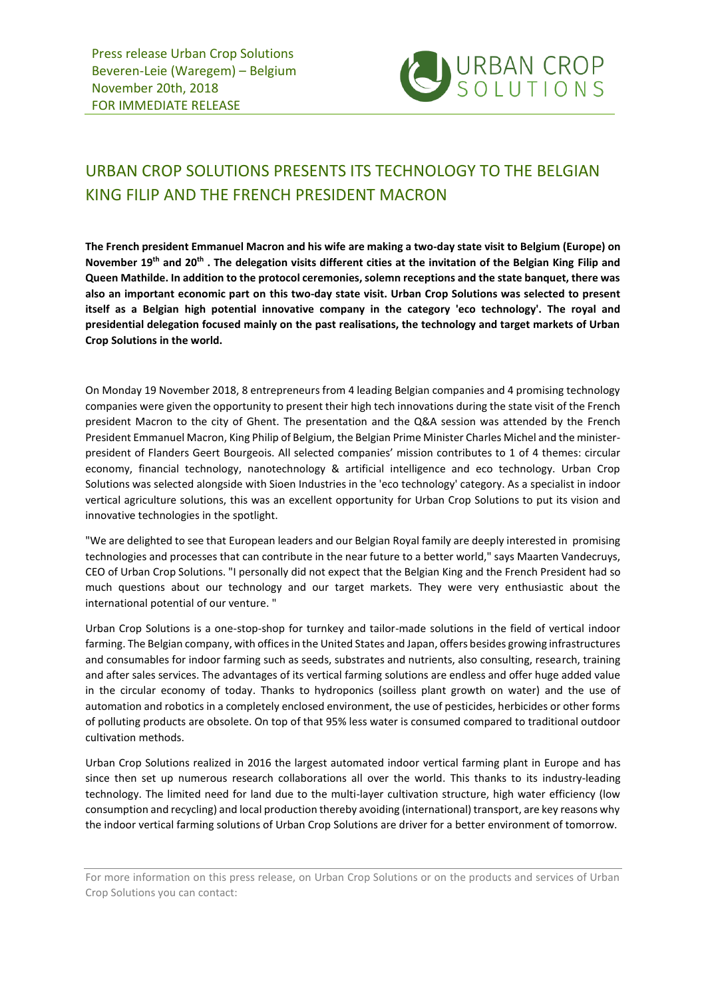

## URBAN CROP SOLUTIONS PRESENTS ITS TECHNOLOGY TO THE BELGIAN KING FILIP AND THE FRENCH PRESIDENT MACRON

**The French president Emmanuel Macron and his wife are making a two-day state visit to Belgium (Europe) on November 19th and 20th . The delegation visits different cities at the invitation of the Belgian King Filip and Queen Mathilde. In addition to the protocol ceremonies, solemn receptions and the state banquet, there was also an important economic part on this two-day state visit. Urban Crop Solutions was selected to present itself as a Belgian high potential innovative company in the category 'eco technology'. The royal and presidential delegation focused mainly on the past realisations, the technology and target markets of Urban Crop Solutions in the world.** 

On Monday 19 November 2018, 8 entrepreneurs from 4 leading Belgian companies and 4 promising technology companies were given the opportunity to present their high tech innovations during the state visit of the French president Macron to the city of Ghent. The presentation and the Q&A session was attended by the French President Emmanuel Macron, King Philip of Belgium, the Belgian Prime Minister Charles Michel and the ministerpresident of Flanders Geert Bourgeois. All selected companies' mission contributes to 1 of 4 themes: circular economy, financial technology, nanotechnology & artificial intelligence and eco technology. Urban Crop Solutions was selected alongside with Sioen Industries in the 'eco technology' category. As a specialist in indoor vertical agriculture solutions, this was an excellent opportunity for Urban Crop Solutions to put its vision and innovative technologies in the spotlight.

"We are delighted to see that European leaders and our Belgian Royal family are deeply interested in promising technologies and processes that can contribute in the near future to a better world," says Maarten Vandecruys, CEO of Urban Crop Solutions. "I personally did not expect that the Belgian King and the French President had so much questions about our technology and our target markets. They were very enthusiastic about the international potential of our venture. "

Urban Crop Solutions is a one-stop-shop for turnkey and tailor-made solutions in the field of vertical indoor farming. The Belgian company, with offices in the United States and Japan, offers besides growing infrastructures and consumables for indoor farming such as seeds, substrates and nutrients, also consulting, research, training and after sales services. The advantages of its vertical farming solutions are endless and offer huge added value in the circular economy of today. Thanks to hydroponics (soilless plant growth on water) and the use of automation and robotics in a completely enclosed environment, the use of pesticides, herbicides or other forms of polluting products are obsolete. On top of that 95% less water is consumed compared to traditional outdoor cultivation methods.

Urban Crop Solutions realized in 2016 the largest automated indoor vertical farming plant in Europe and has since then set up numerous research collaborations all over the world. This thanks to its industry-leading technology. The limited need for land due to the multi-layer cultivation structure, high water efficiency (low consumption and recycling) and local production thereby avoiding (international) transport, are key reasons why the indoor vertical farming solutions of Urban Crop Solutions are driver for a better environment of tomorrow.

For more information on this press release, on Urban Crop Solutions or on the products and services of Urban Crop Solutions you can contact: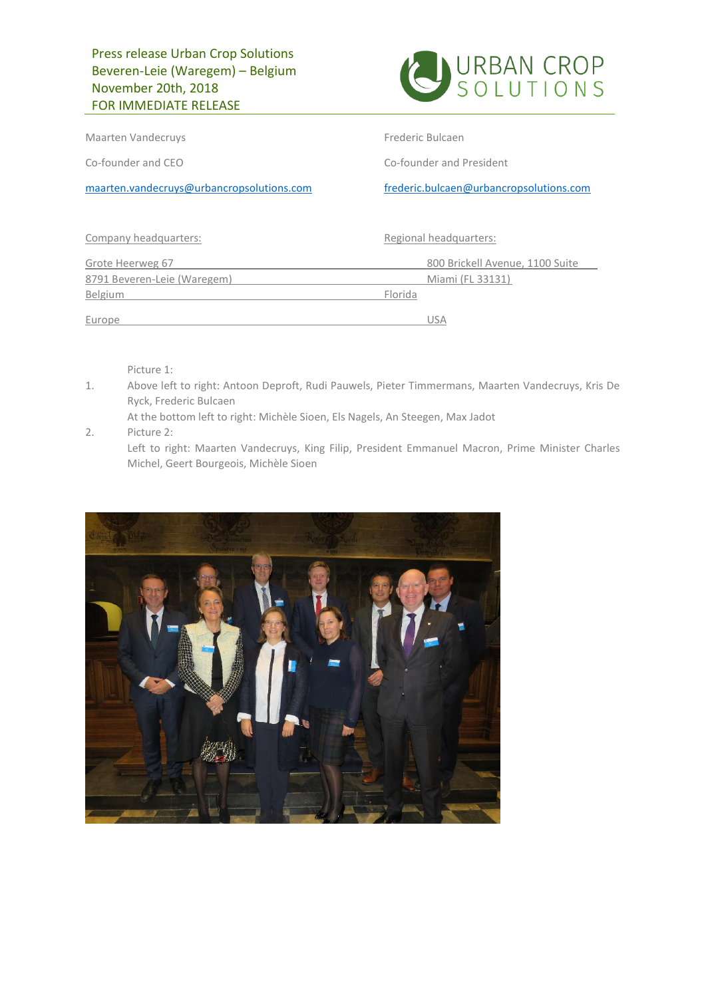

Maarten Vandecruys **Frederic Bulcaen** 

Co-founder and CEO Co-founder and President

[maarten.vandecruys@urbancropsolutions.com](mailto:maarten.vandecruys@urbancropsolutions.com) [frederic.bulcaen@urbancropsolutions.com](mailto:frederic.bulcaen@urbancropsolutions.com)

| Company headquarters:       |         | Regional headquarters:          |
|-----------------------------|---------|---------------------------------|
| Grote Heerweg 67            |         | 800 Brickell Avenue, 1100 Suite |
| 8791 Beveren-Leie (Waregem) |         | Miami (FL 33131)                |
| Belgium                     | Florida |                                 |
| Europe                      |         | USA                             |

Picture 1:

1. Above left to right: Antoon Deproft, Rudi Pauwels, Pieter Timmermans, Maarten Vandecruys, Kris De Ryck, Frederic Bulcaen

At the bottom left to right: Michèle Sioen, Els Nagels, An Steegen, Max Jadot

2. Picture 2:

Left to right: Maarten Vandecruys, King Filip, President Emmanuel Macron, Prime Minister Charles Michel, Geert Bourgeois, Michèle Sioen